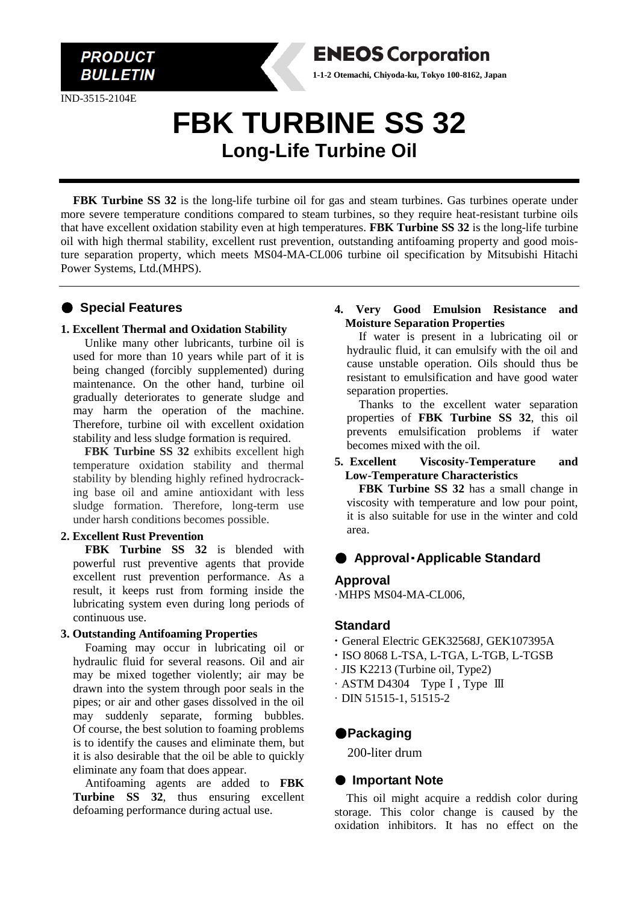

IND-3515-2104E

# **ENEOS Corporation 1-1-2 Otemachi, Chiyoda-ku, Tokyo 100-8162, Japan**

# **FBK TURBINE SS 32 Long-Life Turbine Oil**

**FBK Turbine SS 32** is the long-life turbine oil for gas and steam turbines. Gas turbines operate under more severe temperature conditions compared to steam turbines, so they require heat-resistant turbine oils that have excellent oxidation stability even at high temperatures. **FBK Turbine SS 32** is the long-life turbine oil with high thermal stability, excellent rust prevention, outstanding antifoaming property and good moisture separation property, which meets MS04-MA-CL006 turbine oil specification by Mitsubishi Hitachi Power Systems, Ltd.(MHPS).

# ● **Special Features**

#### **1. Excellent Thermal and Oxidation Stability**

Unlike many other lubricants, turbine oil is used for more than 10 years while part of it is being changed (forcibly supplemented) during maintenance. On the other hand, turbine oil gradually deteriorates to generate sludge and may harm the operation of the machine. Therefore, turbine oil with excellent oxidation stability and less sludge formation is required.

**FBK Turbine SS 32** exhibits excellent high temperature oxidation stability and thermal stability by blending highly refined hydrocracking base oil and amine antioxidant with less sludge formation. Therefore, long-term use under harsh conditions becomes possible.

# **2. Excellent Rust Prevention**

**FBK Turbine SS 32** is blended with powerful rust preventive agents that provide excellent rust prevention performance. As a result, it keeps rust from forming inside the lubricating system even during long periods of continuous use.

#### **3. Outstanding Antifoaming Properties**

Foaming may occur in lubricating oil or hydraulic fluid for several reasons. Oil and air may be mixed together violently; air may be drawn into the system through poor seals in the pipes; or air and other gases dissolved in the oil may suddenly separate, forming bubbles. Of course, the best solution to foaming problems is to identify the causes and eliminate them, but it is also desirable that the oil be able to quickly eliminate any foam that does appear.

Antifoaming agents are added to **FBK Turbine SS 32**, thus ensuring excellent defoaming performance during actual use.

### **4. Very Good Emulsion Resistance and Moisture Separation Properties**

If water is present in a lubricating oil or hydraulic fluid, it can emulsify with the oil and cause unstable operation. Oils should thus be resistant to emulsification and have good water separation properties.

Thanks to the excellent water separation properties of **FBK Turbine SS 32**, this oil prevents emulsification problems if water becomes mixed with the oil.

#### **5. Excellent Viscosity-Temperature and Low-Temperature Characteristics**

**FBK Turbine SS 32** has a small change in viscosity with temperature and low pour point, it is also suitable for use in the winter and cold area.

# ● **Approval**・**Applicable Standard**

# **Approval**

·MHPS MS04-MA-CL006,

# **Standard**

- **·** General Electric GEK32568J, GEK107395A
- **·** ISO 8068 L-TSA, L-TGA, L-TGB, L-TGSB
- · JIS K2213 (Turbine oil, Type2)
- · ASTM D4304 TypeⅠ, Type Ⅲ
- · DIN 51515-1, 51515-2

# ●**Packaging**

200-liter drum

# ● **Important Note**

This oil might acquire a reddish color during storage. This color change is caused by the oxidation inhibitors. It has no effect on the